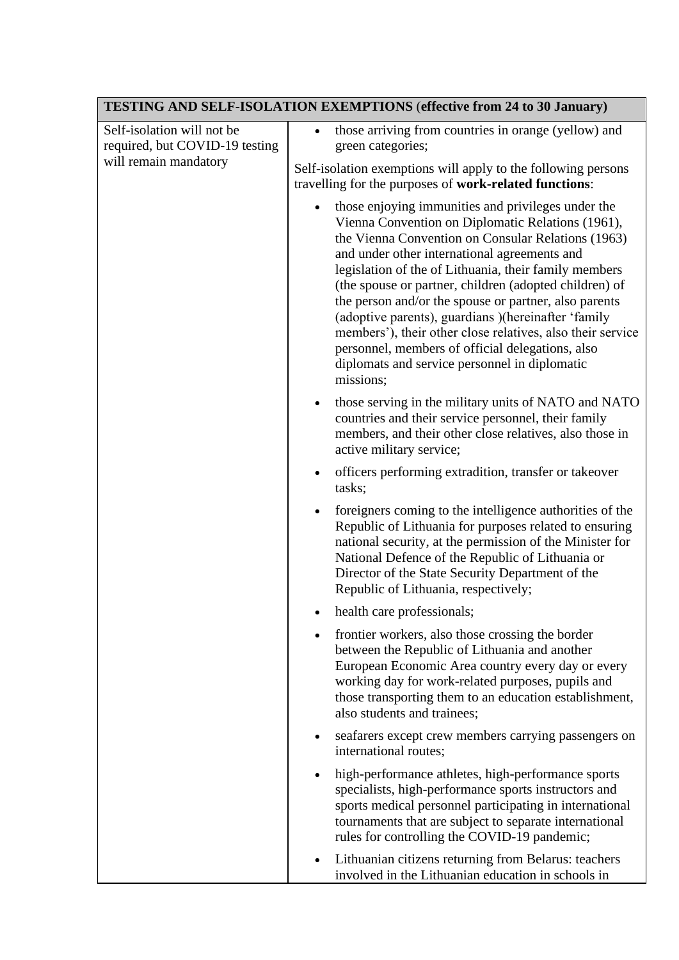|                                                                                       | <b>TESTING AND SELF-ISOLATION EXEMPTIONS (effective from 24 to 30 January)</b>                                                                                                                                                                                                                                                                                                                                                                                                                                                                                                                                                   |
|---------------------------------------------------------------------------------------|----------------------------------------------------------------------------------------------------------------------------------------------------------------------------------------------------------------------------------------------------------------------------------------------------------------------------------------------------------------------------------------------------------------------------------------------------------------------------------------------------------------------------------------------------------------------------------------------------------------------------------|
| Self-isolation will not be<br>required, but COVID-19 testing<br>will remain mandatory | those arriving from countries in orange (yellow) and<br>green categories;<br>Self-isolation exemptions will apply to the following persons<br>travelling for the purposes of work-related functions:                                                                                                                                                                                                                                                                                                                                                                                                                             |
|                                                                                       | those enjoying immunities and privileges under the<br>Vienna Convention on Diplomatic Relations (1961),<br>the Vienna Convention on Consular Relations (1963)<br>and under other international agreements and<br>legislation of the of Lithuania, their family members<br>(the spouse or partner, children (adopted children) of<br>the person and/or the spouse or partner, also parents<br>(adoptive parents), guardians )(hereinafter 'family<br>members'), their other close relatives, also their service<br>personnel, members of official delegations, also<br>diplomats and service personnel in diplomatic<br>missions; |
|                                                                                       | those serving in the military units of NATO and NATO<br>$\bullet$<br>countries and their service personnel, their family<br>members, and their other close relatives, also those in<br>active military service;                                                                                                                                                                                                                                                                                                                                                                                                                  |
|                                                                                       | officers performing extradition, transfer or takeover<br>tasks;                                                                                                                                                                                                                                                                                                                                                                                                                                                                                                                                                                  |
|                                                                                       | foreigners coming to the intelligence authorities of the<br>$\bullet$<br>Republic of Lithuania for purposes related to ensuring<br>national security, at the permission of the Minister for<br>National Defence of the Republic of Lithuania or<br>Director of the State Security Department of the<br>Republic of Lithuania, respectively;                                                                                                                                                                                                                                                                                      |
|                                                                                       | health care professionals;                                                                                                                                                                                                                                                                                                                                                                                                                                                                                                                                                                                                       |
|                                                                                       | frontier workers, also those crossing the border<br>between the Republic of Lithuania and another<br>European Economic Area country every day or every<br>working day for work-related purposes, pupils and<br>those transporting them to an education establishment,<br>also students and trainees;                                                                                                                                                                                                                                                                                                                             |
|                                                                                       | seafarers except crew members carrying passengers on<br>international routes;                                                                                                                                                                                                                                                                                                                                                                                                                                                                                                                                                    |
|                                                                                       | high-performance athletes, high-performance sports<br>٠<br>specialists, high-performance sports instructors and<br>sports medical personnel participating in international<br>tournaments that are subject to separate international<br>rules for controlling the COVID-19 pandemic;                                                                                                                                                                                                                                                                                                                                             |
|                                                                                       | Lithuanian citizens returning from Belarus: teachers<br>٠<br>involved in the Lithuanian education in schools in                                                                                                                                                                                                                                                                                                                                                                                                                                                                                                                  |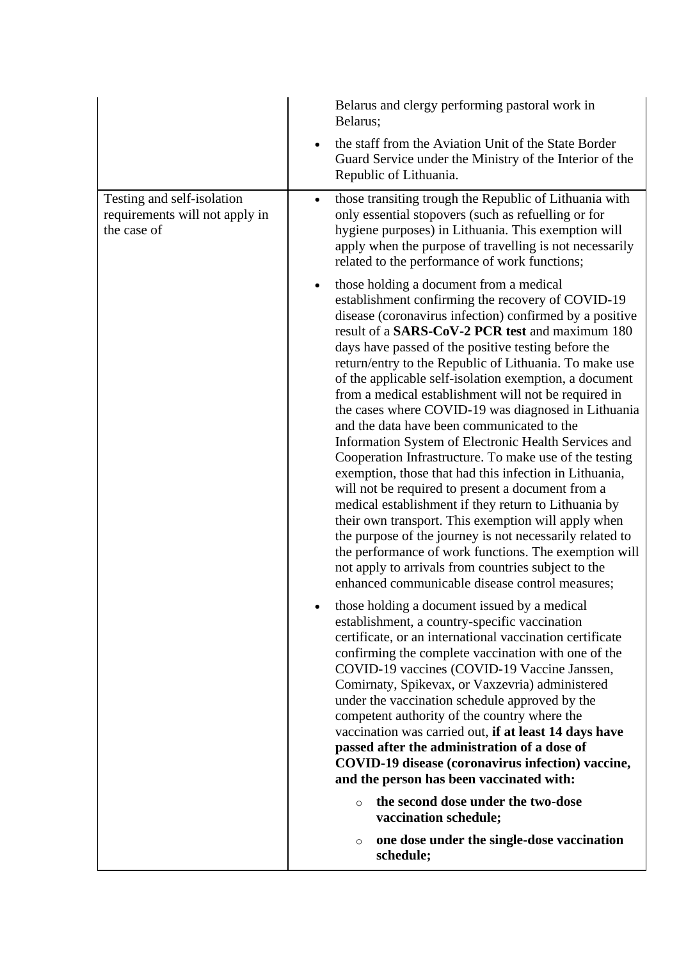|                                                                             | Belarus and clergy performing pastoral work in<br>Belarus;                                                                                                                                                                                                                                                                                                                                                                                                                                                                                                                                                                                                                                                                                                                                                                                                                                                                                                                                                                                                                                                                                     |
|-----------------------------------------------------------------------------|------------------------------------------------------------------------------------------------------------------------------------------------------------------------------------------------------------------------------------------------------------------------------------------------------------------------------------------------------------------------------------------------------------------------------------------------------------------------------------------------------------------------------------------------------------------------------------------------------------------------------------------------------------------------------------------------------------------------------------------------------------------------------------------------------------------------------------------------------------------------------------------------------------------------------------------------------------------------------------------------------------------------------------------------------------------------------------------------------------------------------------------------|
|                                                                             | the staff from the Aviation Unit of the State Border<br>Guard Service under the Ministry of the Interior of the<br>Republic of Lithuania.                                                                                                                                                                                                                                                                                                                                                                                                                                                                                                                                                                                                                                                                                                                                                                                                                                                                                                                                                                                                      |
| Testing and self-isolation<br>requirements will not apply in<br>the case of | those transiting trough the Republic of Lithuania with<br>$\bullet$<br>only essential stopovers (such as refuelling or for<br>hygiene purposes) in Lithuania. This exemption will<br>apply when the purpose of travelling is not necessarily<br>related to the performance of work functions;                                                                                                                                                                                                                                                                                                                                                                                                                                                                                                                                                                                                                                                                                                                                                                                                                                                  |
|                                                                             | those holding a document from a medical<br>$\bullet$<br>establishment confirming the recovery of COVID-19<br>disease (coronavirus infection) confirmed by a positive<br>result of a SARS-CoV-2 PCR test and maximum 180<br>days have passed of the positive testing before the<br>return/entry to the Republic of Lithuania. To make use<br>of the applicable self-isolation exemption, a document<br>from a medical establishment will not be required in<br>the cases where COVID-19 was diagnosed in Lithuania<br>and the data have been communicated to the<br>Information System of Electronic Health Services and<br>Cooperation Infrastructure. To make use of the testing<br>exemption, those that had this infection in Lithuania,<br>will not be required to present a document from a<br>medical establishment if they return to Lithuania by<br>their own transport. This exemption will apply when<br>the purpose of the journey is not necessarily related to<br>the performance of work functions. The exemption will<br>not apply to arrivals from countries subject to the<br>enhanced communicable disease control measures; |
|                                                                             | those holding a document issued by a medical<br>establishment, a country-specific vaccination<br>certificate, or an international vaccination certificate<br>confirming the complete vaccination with one of the<br>COVID-19 vaccines (COVID-19 Vaccine Janssen,<br>Comirnaty, Spikevax, or Vaxzevria) administered<br>under the vaccination schedule approved by the<br>competent authority of the country where the<br>vaccination was carried out, if at least 14 days have<br>passed after the administration of a dose of<br>COVID-19 disease (coronavirus infection) vaccine,<br>and the person has been vaccinated with:                                                                                                                                                                                                                                                                                                                                                                                                                                                                                                                |
|                                                                             | the second dose under the two-dose<br>$\circ$<br>vaccination schedule;                                                                                                                                                                                                                                                                                                                                                                                                                                                                                                                                                                                                                                                                                                                                                                                                                                                                                                                                                                                                                                                                         |
|                                                                             | one dose under the single-dose vaccination<br>$\circ$<br>schedule;                                                                                                                                                                                                                                                                                                                                                                                                                                                                                                                                                                                                                                                                                                                                                                                                                                                                                                                                                                                                                                                                             |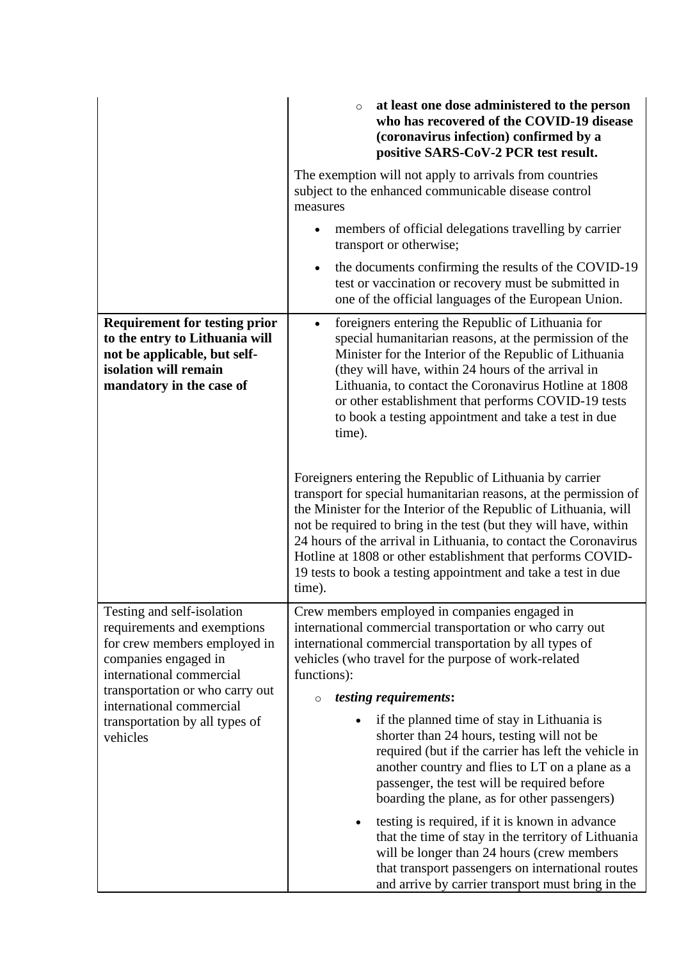|                                                                                                                                                                                                              | at least one dose administered to the person<br>$\circ$<br>who has recovered of the COVID-19 disease<br>(coronavirus infection) confirmed by a<br>positive SARS-CoV-2 PCR test result.                                                                                                                                                                                                                                                                                             |
|--------------------------------------------------------------------------------------------------------------------------------------------------------------------------------------------------------------|------------------------------------------------------------------------------------------------------------------------------------------------------------------------------------------------------------------------------------------------------------------------------------------------------------------------------------------------------------------------------------------------------------------------------------------------------------------------------------|
|                                                                                                                                                                                                              | The exemption will not apply to arrivals from countries<br>subject to the enhanced communicable disease control<br>measures                                                                                                                                                                                                                                                                                                                                                        |
|                                                                                                                                                                                                              | members of official delegations travelling by carrier<br>transport or otherwise;                                                                                                                                                                                                                                                                                                                                                                                                   |
|                                                                                                                                                                                                              | the documents confirming the results of the COVID-19<br>٠<br>test or vaccination or recovery must be submitted in<br>one of the official languages of the European Union.                                                                                                                                                                                                                                                                                                          |
| <b>Requirement for testing prior</b><br>to the entry to Lithuania will<br>not be applicable, but self-<br>isolation will remain<br>mandatory in the case of                                                  | foreigners entering the Republic of Lithuania for<br>$\bullet$<br>special humanitarian reasons, at the permission of the<br>Minister for the Interior of the Republic of Lithuania<br>(they will have, within 24 hours of the arrival in<br>Lithuania, to contact the Coronavirus Hotline at 1808<br>or other establishment that performs COVID-19 tests<br>to book a testing appointment and take a test in due<br>time).                                                         |
|                                                                                                                                                                                                              | Foreigners entering the Republic of Lithuania by carrier<br>transport for special humanitarian reasons, at the permission of<br>the Minister for the Interior of the Republic of Lithuania, will<br>not be required to bring in the test (but they will have, within<br>24 hours of the arrival in Lithuania, to contact the Coronavirus<br>Hotline at 1808 or other establishment that performs COVID-<br>19 tests to book a testing appointment and take a test in due<br>time). |
| Testing and self-isolation<br>requirements and exemptions<br>for crew members employed in<br>companies engaged in<br>international commercial<br>transportation or who carry out<br>international commercial | Crew members employed in companies engaged in<br>international commercial transportation or who carry out<br>international commercial transportation by all types of<br>vehicles (who travel for the purpose of work-related<br>functions):<br><i>testing requirements:</i><br>$\circ$                                                                                                                                                                                             |
| transportation by all types of<br>vehicles                                                                                                                                                                   | if the planned time of stay in Lithuania is<br>shorter than 24 hours, testing will not be<br>required (but if the carrier has left the vehicle in<br>another country and flies to LT on a plane as a<br>passenger, the test will be required before<br>boarding the plane, as for other passengers)                                                                                                                                                                                |
|                                                                                                                                                                                                              | testing is required, if it is known in advance<br>٠<br>that the time of stay in the territory of Lithuania<br>will be longer than 24 hours (crew members<br>that transport passengers on international routes<br>and arrive by carrier transport must bring in the                                                                                                                                                                                                                 |